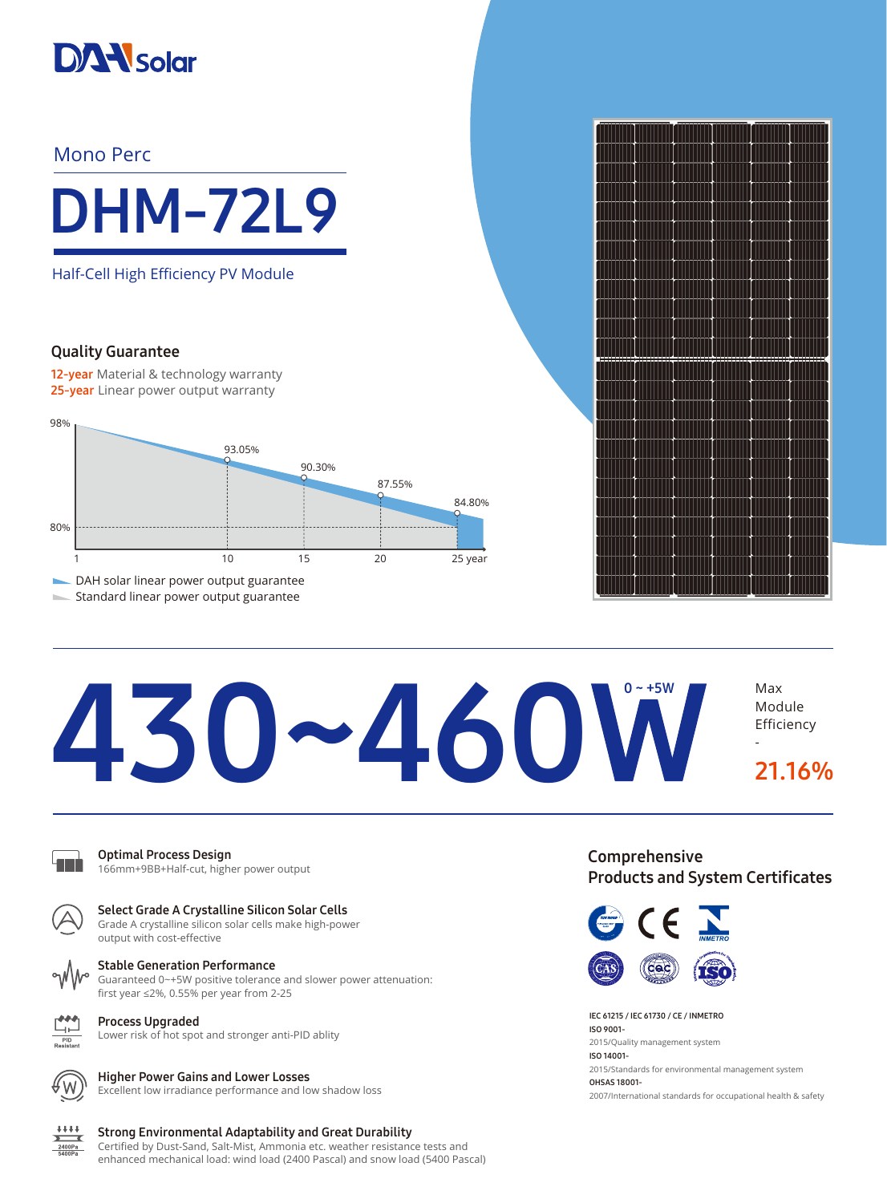

### Mono Perc



Half-Cell High Efficiency PV Module

#### Quality Guarantee

12-year Material & technology warranty 25-year Linear power output warranty



Standard linear power output guarantee



# $430 - 460$  M

Optimal Process Design 166mm+9BB+Half-cut, higher power output



Select Grade A Crystalline Silicon Solar Cells Grade A crystalline silicon solar cells make high-power output with cost-effective



Stable Generation Performance

Guaranteed 0~+5W positive tolerance and slower power attenuation: first year ≤2%, 0.55% per year from 2-25

Process Upgraded Lower risk of hot spot and stronger anti-PID ablity



 $+ + + +$ 2400Pa

#### Higher Power Gains and Lower Losses

Excellent low irradiance performance and low shadow loss

#### Strong Environmental Adaptability and Great Durability

Certified by Dust-Sand, Salt-Mist, Ammonia etc. weather resistance tests and enhanced mechanical load: wind load (2400 Pascal) and snow load (5400 Pascal) Comprehensive Products and System Certificates

Module Efficiency

21.16%

-



IEC 61215 / IEC 61730 / CE / INMETRO ISO 9001- 2015/Quality management system ISO 14001- 2015/Standards for environmental management system OHSAS 18001- 2007/International standards for occupational health & safety